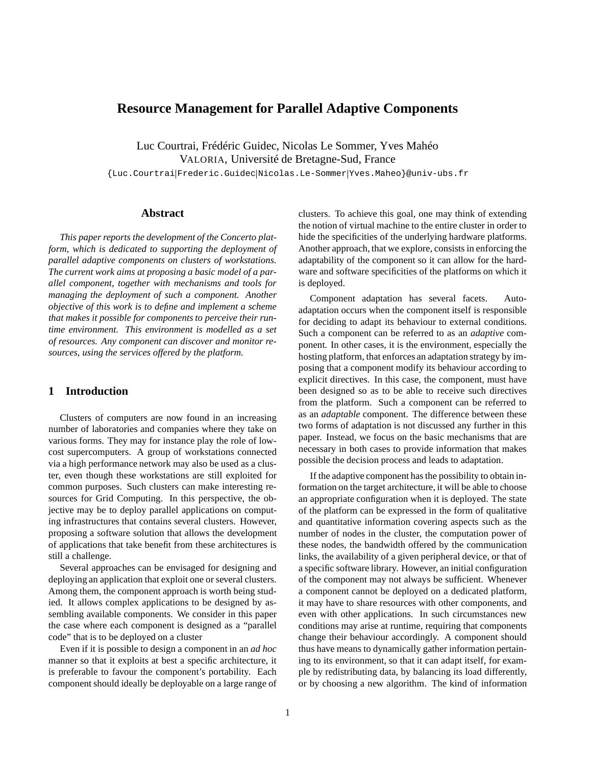# **Resource Management for Parallel Adaptive Components**

Luc Courtrai, Frédéric Guidec, Nicolas Le Sommer, Yves Mahéo VALORIA, Université de Bretagne-Sud, France

{Luc.Courtrai Frederic.Guidec Nicolas.Le-Sommer Yves.Maheo}@univ-ubs.fr

## **Abstract**

*This paper reports the development of the Concerto platform, which is dedicated to supporting the deployment of parallel adaptive components on clusters of workstations. The current work aims at proposing a basic model of a parallel component, together with mechanisms and tools for managing the deployment of such a component. Another objective of this work is to define and implement a scheme that makes it possible for components to perceive their runtime environment. This environment is modelled as a set of resources. Any component can discover and monitor resources, using the services offered by the platform.*

## **1 Introduction**

Clusters of computers are now found in an increasing number of laboratories and companies where they take on various forms. They may for instance play the role of lowcost supercomputers. A group of workstations connected via a high performance network may also be used as a cluster, even though these workstations are still exploited for common purposes. Such clusters can make interesting resources for Grid Computing. In this perspective, the objective may be to deploy parallel applications on computing infrastructures that contains several clusters. However, proposing a software solution that allows the development of applications that take benefit from these architectures is still a challenge.

Several approaches can be envisaged for designing and deploying an application that exploit one or several clusters. Among them, the component approach is worth being studied. It allows complex applications to be designed by assembling available components. We consider in this paper the case where each component is designed as a "parallel code" that is to be deployed on a cluster

Even if it is possible to design a component in an *ad hoc* manner so that it exploits at best a specific architecture, it is preferable to favour the component's portability. Each component should ideally be deployable on a large range of clusters. To achieve this goal, one may think of extending the notion of virtual machine to the entire cluster in order to hide the specificities of the underlying hardware platforms. Another approach, that we explore, consists in enforcing the adaptability of the component so it can allow for the hardware and software specificities of the platforms on which it is deployed.

Component adaptation has several facets. Autoadaptation occurs when the component itself is responsible for deciding to adapt its behaviour to external conditions. Such a component can be referred to as an *adaptive* component. In other cases, it is the environment, especially the hosting platform, that enforces an adaptation strategy by imposing that a component modify its behaviour according to explicit directives. In this case, the component, must have been designed so as to be able to receive such directives from the platform. Such a component can be referred to as an *adaptable* component. The difference between these two forms of adaptation is not discussed any further in this paper. Instead, we focus on the basic mechanisms that are necessary in both cases to provide information that makes possible the decision process and leads to adaptation.

If the adaptive component hasthe possibility to obtain information on the target architecture, it will be able to choose an appropriate configuration when it is deployed. The state of the platform can be expressed in the form of qualitative and quantitative information covering aspects such as the number of nodes in the cluster, the computation power of these nodes, the bandwidth offered by the communication links, the availability of a given peripheral device, or that of a specific software library. However, an initial configuration of the component may not always be sufficient. Whenever a component cannot be deployed on a dedicated platform, it may have to share resources with other components, and even with other applications. In such circumstances new conditions may arise at runtime, requiring that components change their behaviour accordingly. A component should thus have means to dynamically gather information pertaining to its environment, so that it can adapt itself, for example by redistributing data, by balancing its load differently, or by choosing a new algorithm. The kind of information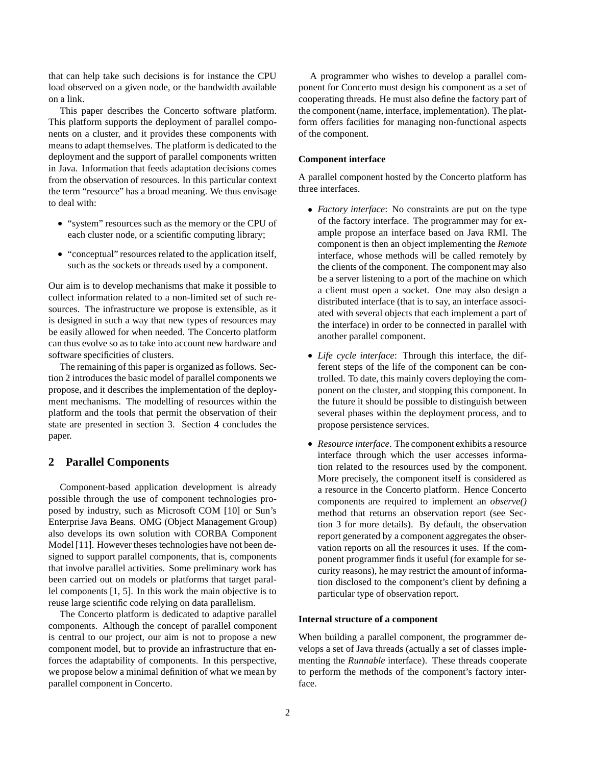that can help take such decisions is for instance the CPU load observed on a given node, or the bandwidth available on a link.

This paper describes the Concerto software platform. This platform supports the deployment of parallel components on a cluster, and it provides these components with means to adapt themselves. The platform is dedicated to the deployment and the support of parallel components written in Java. Information that feeds adaptation decisions comes from the observation of resources. In this particular context the term "resource" has a broad meaning. We thus envisage to deal with:

- "system" resources such as the memory or the CPU of each cluster node, or a scientific computing library;
- "conceptual" resources related to the application itself, such as the sockets or threads used by a component.

Our aim is to develop mechanisms that make it possible to collect information related to a non-limited set of such resources. The infrastructure we propose is extensible, as it is designed in such a way that new types of resources may be easily allowed for when needed. The Concerto platform can thus evolve so as to take into account new hardware and software specificities of clusters.

The remaining of this paper is organized as follows. Section 2 introduces the basic model of parallel components we propose, and it describes the implementation of the deployment mechanisms. The modelling of resources within the platform and the tools that permit the observation of their state are presented in section 3. Section 4 concludes the paper.

## **2 Parallel Components**

Component-based application development is already possible through the use of component technologies proposed by industry, such as Microsoft COM [10] or Sun's Enterprise Java Beans. OMG (Object Management Group) also develops its own solution with CORBA Component Model [11]. However theses technologies have not been designed to support parallel components, that is, components that involve parallel activities. Some preliminary work has been carried out on models or platforms that target parallel components [1, 5]. In this work the main objective is to reuse large scientific code relying on data parallelism.

The Concerto platform is dedicated to adaptive parallel components. Although the concept of parallel component is central to our project, our aim is not to propose a new component model, but to provide an infrastructure that enforces the adaptability of components. In this perspective, we propose below a minimal definition of what we mean by parallel component in Concerto.

A programmer who wishes to develop a parallel component for Concerto must design his component as a set of cooperating threads. He must also define the factory part of the component (name, interface, implementation). The platform offers facilities for managing non-functional aspects of the component.

### **Component interface**

A parallel component hosted by the Concerto platform has three interfaces.

- *Factory interface*: No constraints are put on the type of the factory interface. The programmer may for example propose an interface based on Java RMI. The component is then an object implementing the *Remote* interface, whose methods will be called remotely by the clients of the component. The component may also be a server listening to a port of the machine on which a client must open a socket. One may also design a distributed interface (that is to say, an interface associated with several objects that each implement a part of the interface) in order to be connected in parallel with another parallel component.
- *Life cycle interface*: Through this interface, the different steps of the life of the component can be controlled. To date, this mainly covers deploying the component on the cluster, and stopping this component. In the future it should be possible to distinguish between several phases within the deployment process, and to propose persistence services.
- *Resource interface*. The component exhibits a resource interface through which the user accesses information related to the resources used by the component. More precisely, the component itself is considered as a resource in the Concerto platform. Hence Concerto components are required to implement an *observe()* method that returns an observation report (see Section 3 for more details). By default, the observation report generated by a component aggregates the observation reports on all the resources it uses. If the component programmer finds it useful (for example for security reasons), he may restrict the amount of information disclosed to the component's client by defining a particular type of observation report.

#### **Internal structure of a component**

When building a parallel component, the programmer develops a set of Java threads (actually a set of classes implementing the *Runnable* interface). These threads cooperate to perform the methods of the component's factory interface.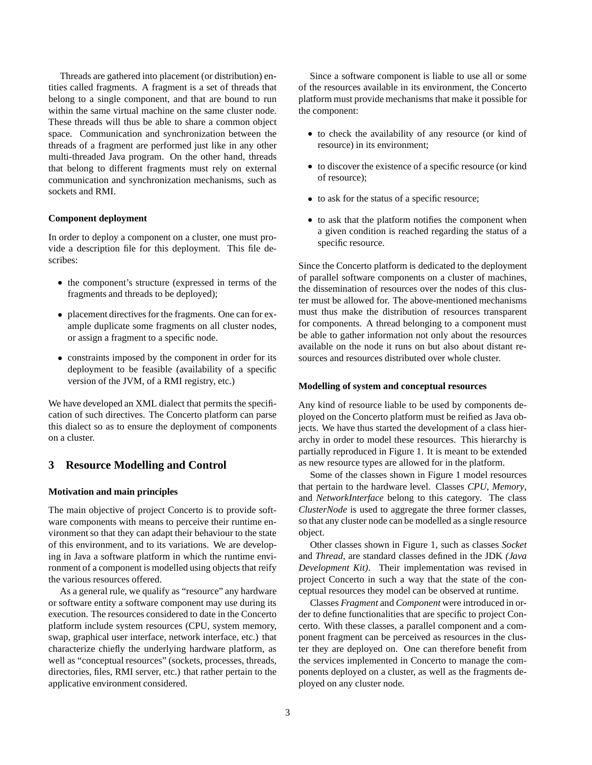Threads are gathered into placement (or distribution) entities called fragments. A fragment is a set of threads that belong to a single component, and that are bound to run within the same virtual machine on the same cluster node. These threads will thus be able to share a common object space. Communication and synchronization between the threads of a fragment are performed just like in any other multi-threaded Java program. On the other hand, threads that belong to different fragments must rely on external communication and synchronization mechanisms, such as sockets and RMI.

#### **Component deployment**

In order to deploy a component on a cluster, one must provide a description file for this deployment. This file describes:

- the component's structure (expressed in terms of the fragments and threads to be deployed);
- placement directives for the fragments. One can for example duplicate some fragments on all cluster nodes, or assign a fragment to a specific node.
- constraints imposed by the component in order for its deployment to be feasible (availability of a specific version of the JVM, of a RMI registry, etc.)

We have developed an XML dialect that permits the specification of such directives. The Concerto platform can parse this dialect so as to ensure the deployment of components on a cluster.

## **3 Resource Modelling and Control**

#### **Motivation and main principles**

The main objective of project Concerto is to provide software components with means to perceive their runtime environment so that they can adapt their behaviour to the state of this environment, and to its variations. We are developing in Java a software platform in which the runtime environment of a component is modelled using objects that reify the various resources offered.

As a general rule, we qualify as "resource" any hardware or software entity a software component may use during its execution. The resources considered to date in the Concerto platform include system resources (CPU, system memory, swap, graphical user interface, network interface, etc.) that characterize chiefly the underlying hardware platform, as well as "conceptual resources" (sockets, processes, threads, directories, files, RMI server, etc.) that rather pertain to the applicative environment considered.

Since a software component is liable to use all or some of the resources available in its environment, the Concerto platform must provide mechanisms that make it possible for the component:

- to check the availability of any resource (or kind of resource) in its environment;
- to discover the existence of a specific resource (or kind of resource);
- to ask for the status of a specific resource;
- to ask that the platform notifies the component when a given condition is reached regarding the status of a specific resource.

Since the Concerto platform is dedicated to the deployment of parallel software components on a cluster of machines, the dissemination of resources over the nodes of this cluster must be allowed for. The above-mentioned mechanisms must thus make the distribution of resources transparent for components. A thread belonging to a component must be able to gather information not only about the resources available on the node it runs on but also about distant resources and resources distributed over whole cluster.

#### **Modelling of system and conceptual resources**

Any kind of resource liable to be used by components deployed on the Concerto platform must be reified as Java objects. We have thus started the development of a class hierarchy in order to model these resources. This hierarchy is partially reproduced in Figure 1. It is meant to be extended as new resource types are allowed for in the platform.

Some of the classes shown in Figure 1 model resources that pertain to the hardware level. Classes *CPU*, *Memory*, and *NetworkInterface* belong to this category. The class *ClusterNode* is used to aggregate the three former classes, so that any cluster node can be modelled as a single resource object.

Other classes shown in Figure 1, such as classes *Socket* and *Thread*, are standard classes defined in the JDK *(Java Development Kit)*. Their implementation was revised in project Concerto in such a way that the state of the conceptual resources they model can be observed at runtime.

Classes *Fragment* and *Component* were introduced in order to define functionalities that are specific to project Concerto. With these classes, a parallel component and a component fragment can be perceived as resources in the cluster they are deployed on. One can therefore benefit from the services implemented in Concerto to manage the components deployed on a cluster, as well as the fragments deployed on any cluster node.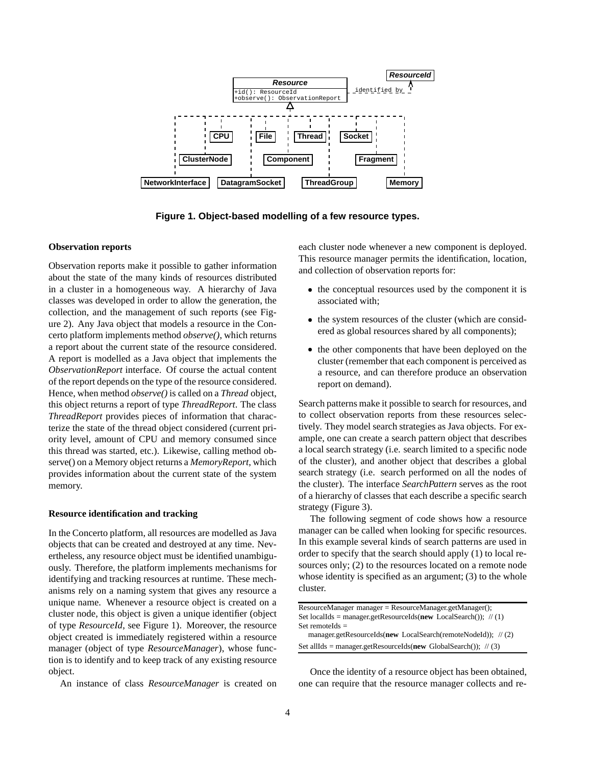

**Figure 1. Object-based modelling of a few resource types.**

#### **Observation reports**

Observation reports make it possible to gather information about the state of the many kinds of resources distributed in a cluster in a homogeneous way. A hierarchy of Java classes was developed in order to allow the generation, the collection, and the management of such reports (see Figure 2). Any Java object that models a resource in the Concerto platform implements method *observe()*, which returns a report about the current state of the resource considered. A report is modelled as a Java object that implements the *ObservationReport* interface. Of course the actual content of the report depends on the type of the resource considered. Hence, when method *observe()* is called on a *Thread* object, this object returns a report of type *ThreadReport*. The class *ThreadReport* provides pieces of information that characterize the state of the thread object considered (current priority level, amount of CPU and memory consumed since this thread was started, etc.). Likewise, calling method observe() on a Memory object returns a *MemoryReport*, which provides information about the current state of the system memory.

#### **Resource identification and tracking**

In the Concerto platform, all resources are modelled as Java objects that can be created and destroyed at any time. Nevertheless, any resource object must be identified unambiguously. Therefore, the platform implements mechanisms for identifying and tracking resources at runtime. These mechanisms rely on a naming system that gives any resource a unique name. Whenever a resource object is created on a cluster node, this object is given a unique identifier (object of type *ResourceId*, see Figure 1). Moreover, the resource object created is immediately registered within a resource manager (object of type *ResourceManager*), whose function is to identify and to keep track of any existing resource object.

An instance of class *ResourceManager* is created on

each cluster node whenever a new component is deployed. This resource manager permits the identification, location, and collection of observation reports for:

- the conceptual resources used by the component it is associated with;
- the system resources of the cluster (which are considered as global resources shared by all components);
- the other components that have been deployed on the cluster (remember that each component is perceived as a resource, and can therefore produce an observation report on demand).

Search patterns make it possible to search for resources, and to collect observation reports from these resources selectively. They model search strategies as Java objects. For example, one can create a search pattern object that describes a local search strategy (i.e. search limited to a specific node of the cluster), and another object that describes a global search strategy (i.e. search performed on all the nodes of the cluster). The interface *SearchPattern* serves as the root of a hierarchy of classes that each describe a specific search strategy (Figure 3).

The following segment of code shows how a resource manager can be called when looking for specific resources. In this example several kinds of search patterns are used in order to specify that the search should apply (1) to local resources only; (2) to the resources located on a remote node whose identity is specified as an argument; (3) to the whole cluster.

ResourceManager manager = ResourceManager.getManager(); Set localIds = manager.getResourceIds(**new** LocalSearch()); // (1) Set remoteIds  $=$ 

manager.getResourceIds(**new** LocalSearch(remoteNodeId)); // (2) Set allIds = manager.getResourceIds(**new** GlobalSearch()); // (3)

Once the identity of a resource object has been obtained, one can require that the resource manager collects and re-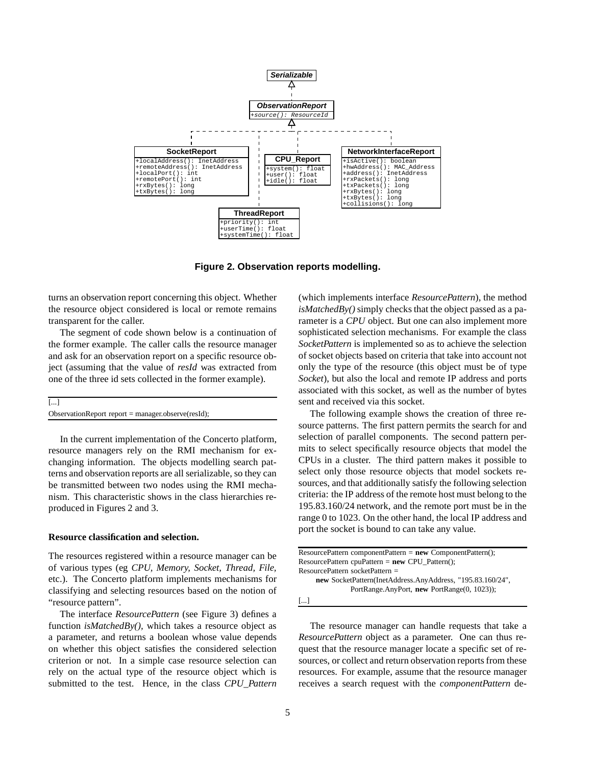

**Figure 2. Observation reports modelling.**

turns an observation report concerning this object. Whether the resource object considered is local or remote remains transparent for the caller.

The segment of code shown below is a continuation of the former example. The caller calls the resource manager and ask for an observation report on a specific resource object (assuming that the value of *resId* was extracted from one of the three id sets collected in the former example).

| $\left[\ldots\right]$                              |  |
|----------------------------------------------------|--|
| ObservationReport report = manager.observe(resId); |  |

In the current implementation of the Concerto platform, resource managers rely on the RMI mechanism for exchanging information. The objects modelling search patterns and observation reports are all serializable, so they can be transmitted between two nodes using the RMI mechanism. This characteristic shows in the class hierarchies reproduced in Figures 2 and 3.

#### **Resource classification and selection.**

The resources registered within a resource manager can be of various types (eg *CPU, Memory, Socket, Thread, File,* etc.). The Concerto platform implements mechanisms for classifying and selecting resources based on the notion of "resource pattern".

The interface *ResourcePattern* (see Figure 3) defines a function *isMatchedBy(),* which takes a resource object as a parameter, and returns a boolean whose value depends on whether this object satisfies the considered selection criterion or not. In a simple case resource selection can rely on the actual type of the resource object which is submitted to the test. Hence, in the class *CPU\_Pattern* (which implements interface *ResourcePattern*), the method *isMatchedBy()* simply checks that the object passed as a parameter is a *CPU* object. But one can also implement more sophisticated selection mechanisms. For example the class *SocketPattern* is implemented so as to achieve the selection of socket objects based on criteria that take into account not only the type of the resource (this object must be of type *Socket*), but also the local and remote IP address and ports associated with this socket, as well as the number of bytes sent and received via this socket.

The following example shows the creation of three resource patterns. The first pattern permits the search for and selection of parallel components. The second pattern permits to select specifically resource objects that model the CPUs in a cluster. The third pattern makes it possible to select only those resource objects that model sockets resources, and that additionally satisfy the following selection criteria: the IP address of the remote host must belong to the 195.83.160/24 network, and the remote port must be in the range 0 to 1023. On the other hand, the local IP address and port the socket is bound to can take any value.

| ResourcePattern componentPattern = $new$ ComponentPattern(); |
|--------------------------------------------------------------|
| ResourcePattern cpuPattern = $new CPU$ Pattern();            |
| $ResourcePattern socketPattern =$                            |
| new SocketPattern(InetAddress.AnyAddress, "195.83.160/24",   |
| PortRange.AnyPort, new PortRange(0, 1023));                  |
| - []                                                         |

The resource manager can handle requests that take a *ResourcePattern* object as a parameter. One can thus request that the resource manager locate a specific set of resources, or collect and return observation reports from these resources. For example, assume that the resource manager receives a search request with the *componentPattern* de-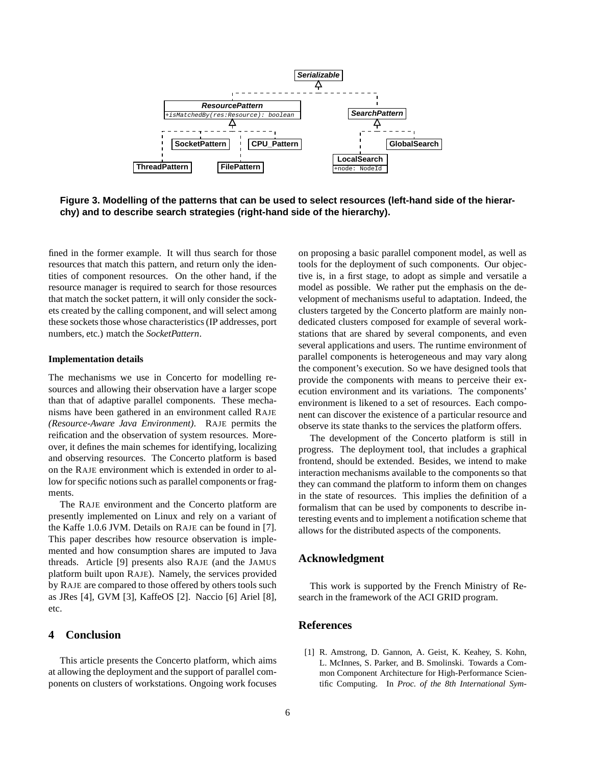

Figure 3. Modelling of the patterns that can be used to select resources (left-hand side of the hierar**chy) and to describe search strategies (right-hand side of the hierarchy).**

fined in the former example. It will thus search for those resources that match this pattern, and return only the identities of component resources. On the other hand, if the resource manager is required to search for those resources that match the socket pattern, it will only consider the sockets created by the calling component, and will select among these sockets those whose characteristics (IP addresses, port numbers, etc.) match the *SocketPattern*.

#### **Implementation details**

The mechanisms we use in Concerto for modelling resources and allowing their observation have a larger scope than that of adaptive parallel components. These mechanisms have been gathered in an environment called RAJE *(Resource-Aware Java Environment)*. RAJE permits the reification and the observation of system resources. Moreover, it defines the main schemes for identifying, localizing and observing resources. The Concerto platform is based on the RAJE environment which is extended in order to allow for specific notions such as parallel components or fragments.

The RAJE environment and the Concerto platform are presently implemented on Linux and rely on a variant of the Kaffe 1.0.6 JVM. Details on RAJE can be found in [7]. This paper describes how resource observation is implemented and how consumption shares are imputed to Java threads. Article [9] presents also RAJE (and the JAMUS platform built upon RAJE). Namely, the services provided by RAJE are compared to those offered by others tools such as JRes [4], GVM [3], KaffeOS [2]. Naccio [6] Ariel [8], etc.

### **4 Conclusion**

This article presents the Concerto platform, which aims at allowing the deployment and the support of parallel components on clusters of workstations. Ongoing work focuses on proposing a basic parallel component model, as well as tools for the deployment of such components. Our objective is, in a first stage, to adopt as simple and versatile a model as possible. We rather put the emphasis on the development of mechanisms useful to adaptation. Indeed, the clusters targeted by the Concerto platform are mainly nondedicated clusters composed for example of several workstations that are shared by several components, and even several applications and users. The runtime environment of parallel components is heterogeneous and may vary along the component's execution. So we have designed tools that provide the components with means to perceive their execution environment and its variations. The components' environment is likened to a set of resources. Each component can discover the existence of a particular resource and observe its state thanks to the services the platform offers.

The development of the Concerto platform is still in progress. The deployment tool, that includes a graphical frontend, should be extended. Besides, we intend to make interaction mechanisms available to the components so that they can command the platform to inform them on changes in the state of resources. This implies the definition of a formalism that can be used by components to describe interesting events and to implement a notification scheme that allows for the distributed aspects of the components.

## **Acknowledgment**

This work is supported by the French Ministry of Research in the framework of the ACI GRID program.

## **References**

[1] R. Amstrong, D. Gannon, A. Geist, K. Keahey, S. Kohn, L. McInnes, S. Parker, and B. Smolinski. Towards a Common Component Architecture for High-Performance Scientific Computing. In *Proc. of the 8th International Sym-*